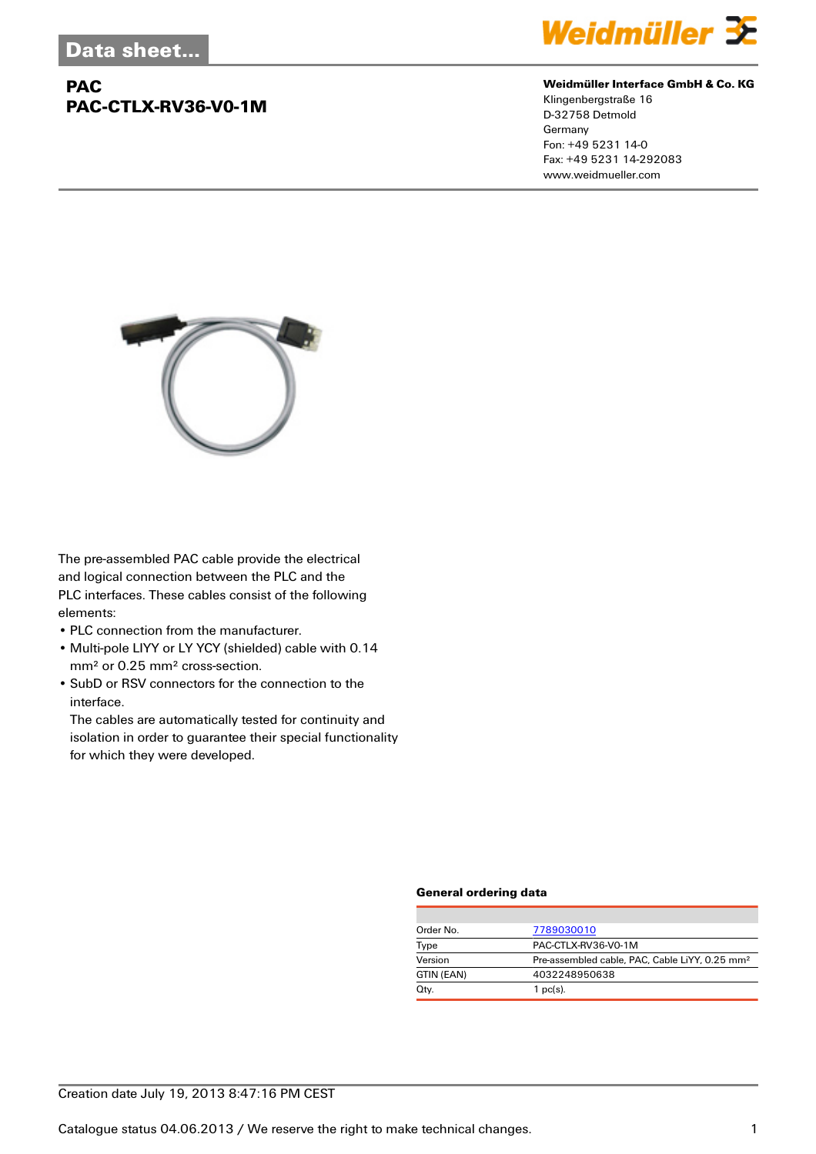# **PAC PAC-CTLX-RV36-V0-1M**



#### **Weidmüller Interface GmbH & Co. KG**

Klingenbergstraße 16 D-32758 Detmold Germany Fon: +49 5231 14-0 Fax: +49 5231 14-292083 www.weidmueller.com



The pre-assembled PAC cable provide the electrical and logical connection between the PLC and the PLC interfaces. These cables consist of the following elements:

- PLC connection from the manufacturer.
- Multi-pole LIYY or LY YCY (shielded) cable with 0.14 mm² or 0.25 mm² cross-section.
- SubD or RSV connectors for the connection to the interface.

The cables are automatically tested for continuity and isolation in order to guarantee their special functionality for which they were developed.

### **General ordering data**

| Order No.  | 7789030010                                                 |  |
|------------|------------------------------------------------------------|--|
| Type       | PAC-CTLX-RV36-V0-1M                                        |  |
| Version    | Pre-assembled cable, PAC, Cable LiYY, 0.25 mm <sup>2</sup> |  |
| GTIN (EAN) | 4032248950638                                              |  |
| Qty.       | $1$ pc(s).                                                 |  |